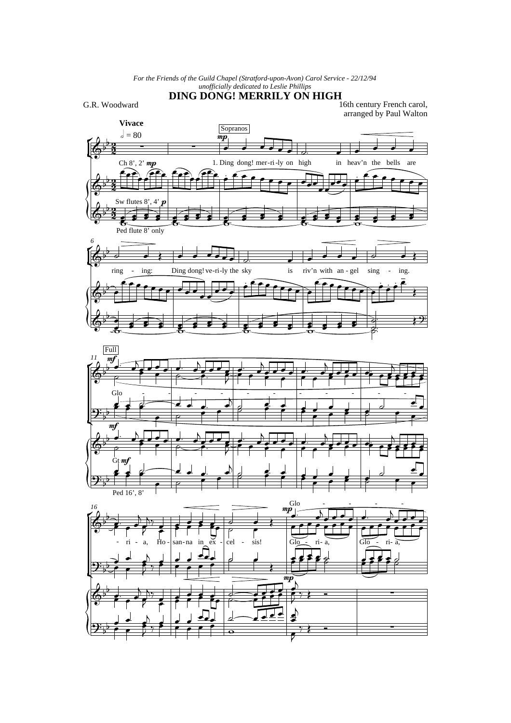*For the Friends of the Guild Chapel (Stratford-upon-Avon) Carol Service - 22/12/94 unofficially dedicated to Leslie Phillips*

## **DING DONG! MERRILY ON HIGH**

G.R. Woodward

16th century French carol, arranged by Paul Walton